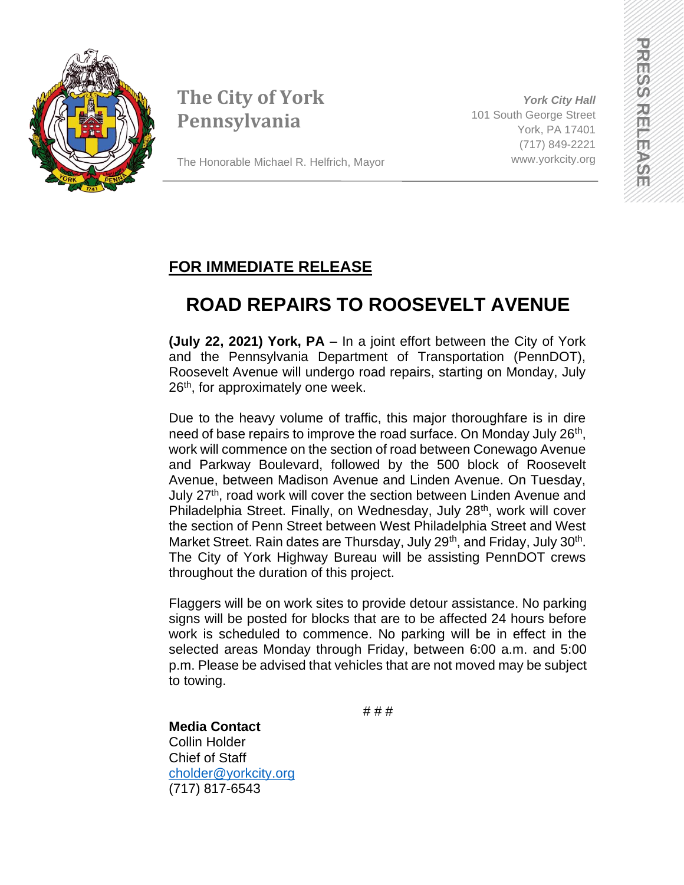

# **The City of York Pennsylvania**

The Honorable Michael R. Helfrich, Mayor

*York City Hall* 101 South George Street York, PA 17401 (717) 849-2221 www.yorkcity.org

### **FOR IMMEDIATE RELEASE**

# **ROAD REPAIRS TO ROOSEVELT AVENUE**

**(July 22, 2021) York, PA** – In a joint effort between the City of York and the Pennsylvania Department of Transportation (PennDOT), Roosevelt Avenue will undergo road repairs, starting on Monday, July 26<sup>th</sup>, for approximately one week.

Due to the heavy volume of traffic, this major thoroughfare is in dire need of base repairs to improve the road surface. On Monday July 26<sup>th</sup>, work will commence on the section of road between Conewago Avenue and Parkway Boulevard, followed by the 500 block of Roosevelt Avenue, between Madison Avenue and Linden Avenue. On Tuesday, July 27<sup>th</sup>, road work will cover the section between Linden Avenue and Philadelphia Street. Finally, on Wednesday, July 28<sup>th</sup>, work will cover the section of Penn Street between West Philadelphia Street and West Market Street. Rain dates are Thursday, July 29<sup>th</sup>, and Friday, July 30<sup>th</sup>. The City of York Highway Bureau will be assisting PennDOT crews throughout the duration of this project.

Flaggers will be on work sites to provide detour assistance. No parking signs will be posted for blocks that are to be affected 24 hours before work is scheduled to commence. No parking will be in effect in the selected areas Monday through Friday, between 6:00 a.m. and 5:00 p.m. Please be advised that vehicles that are not moved may be subject to towing.

# # #

#### **Media Contact** Collin Holder Chief of Staff [cholder@yorkcity.org](mailto:cholder@yorkcity.org) (717) 817-6543